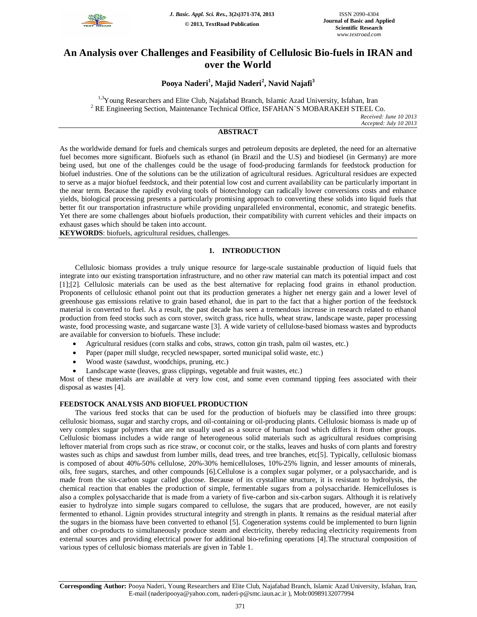

# **An Analysis over Challenges and Feasibility of Cellulosic Bio-fuels in IRAN and over the World**

# **Pooya Naderi<sup>1</sup> , Majid Naderi<sup>2</sup> , Navid Najafi<sup>3</sup>**

<sup>1,3</sup>Young Researchers and Elite Club, Najafabad Branch, Islamic Azad University, Isfahan, Iran <sup>2</sup> RE Engineering Section, Maintenance Technical Office, ISFAHAN`S MOBARAKEH STEEL Co.

*Received: June 10 2013 Accepted: July 10 2013*

# **ABSTRACT**

As the worldwide demand for fuels and chemicals surges and petroleum deposits are depleted, the need for an alternative fuel becomes more significant. Biofuels such as ethanol (in Brazil and the U.S) and biodiesel (in Germany) are more being used, but one of the challenges could be the usage of food-producing farmlands for feedstock production for biofuel industries. One of the solutions can be the utilization of agricultural residues. Agricultural residues are expected to serve as a major biofuel feedstock, and their potential low cost and current availability can be particularly important in the near term. Because the rapidly evolving tools of biotechnology can radically lower conversions costs and enhance yields, biological processing presents a particularly promising approach to converting these solids into liquid fuels that better fit our transportation infrastructure while providing unparalleled environmental, economic, and strategic benefits. Yet there are some challenges about biofuels production, their compatibility with current vehicles and their impacts on exhaust gases which should be taken into account.

**KEYWORDS**: biofuels, agricultural residues, challenges.

# **1. INTRODUCTION**

Cellulosic biomass provides a truly unique resource for large-scale sustainable production of liquid fuels that integrate into our existing transportation infrastructure, and no other raw material can match its potential impact and cost [1];[2]. Cellulosic materials can be used as the best alternative for replacing food grains in ethanol production. Proponents of cellulosic ethanol point out that its production generates a higher net energy gain and a lower level of greenhouse gas emissions relative to grain based ethanol, due in part to the fact that a higher portion of the feedstock material is converted to fuel. As a result, the past decade has seen a tremendous increase in research related to ethanol production from feed stocks such as corn stover, switch grass, rice hulls, wheat straw, landscape waste, paper processing waste, food processing waste, and sugarcane waste [3]. A wide variety of cellulose-based biomass wastes and byproducts are available for conversion to biofuels. These include:

- Agricultural residues (corn stalks and cobs, straws, cotton gin trash, palm oil wastes, etc.)
- Paper (paper mill sludge, recycled newspaper, sorted municipal solid waste, etc.)
- Wood waste (sawdust, woodchips, pruning, etc.)
- Landscape waste (leaves, grass clippings, vegetable and fruit wastes, etc.)

Most of these materials are available at very low cost, and some even command tipping fees associated with their disposal as wastes [4].

#### **FEEDSTOCK ANALYSIS AND BIOFUEL PRODUCTION**

The various feed stocks that can be used for the production of biofuels may be classified into three groups: cellulosic biomass, sugar and starchy crops, and oil-containing or oil-producing plants. Cellulosic biomass is made up of very complex sugar polymers that are not usually used as a source of human food which differs it from other groups. Cellulosic biomass includes a wide range of heterogeneous solid materials such as agricultural residues comprising leftover material from crops such as rice straw, or coconut coir, or the stalks, leaves and husks of corn plants and forestry wastes such as chips and sawdust from lumber mills, dead trees, and tree branches, etc[5]. Typically, cellulosic biomass is composed of about 40%-50% cellulose, 20%-30% hemicelluloses, 10%-25% lignin, and lesser amounts of minerals, oils, free sugars, starches, and other compounds [6].Cellulose is a complex sugar polymer, or a polysaccharide, and is made from the six-carbon sugar called glucose. Because of its crystalline structure, it is resistant to hydrolysis, the chemical reaction that enables the production of simple, fermentable sugars from a polysaccharide. Hemicelluloses is also a complex polysaccharide that is made from a variety of five-carbon and six-carbon sugars. Although it is relatively easier to hydrolyze into simple sugars compared to cellulose, the sugars that are produced, however, are not easily fermented to ethanol. Lignin provides structural integrity and strength in plants. It remains as the residual material after the sugars in the biomass have been converted to ethanol [5]. Cogeneration systems could be implemented to burn lignin and other co-products to simultaneously produce steam and electricity, thereby reducing electricity requirements from external sources and providing electrical power for additional bio-refining operations [4].The structural composition of various types of cellulosic biomass materials are given in Table 1.

**Corresponding Author:** Pooya Naderi, Young Researchers and Elite Club, Najafabad Branch, Islamic Azad University, Isfahan, Iran, E-mail (naderipooya@yahoo.com, naderi-p@smc.iaun.ac.ir ), Mob:00989132077994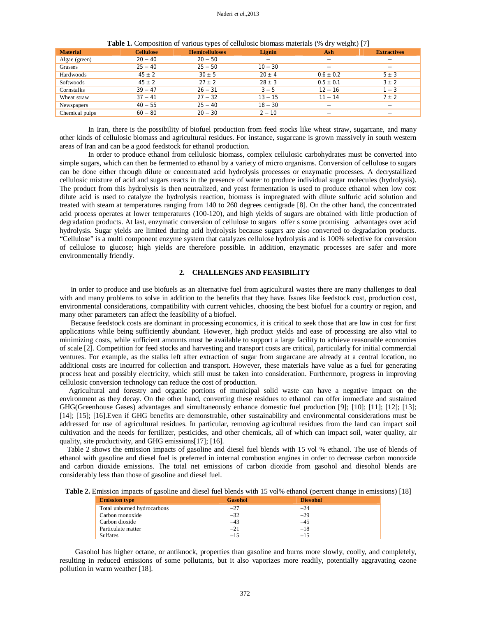| <b>Material</b> | <b>Cellulose</b> | <b>Hemicelluloses</b> | Lignin                   | Ash           | <b>Extractives</b> |
|-----------------|------------------|-----------------------|--------------------------|---------------|--------------------|
| Algae (green)   | $20 - 40$        | $20 - 50$             | $\overline{\phantom{0}}$ |               |                    |
| Grasses         | $25 - 40$        | $25 - 50$             | $10 - 30$                |               |                    |
| Hardwoods       | $45 \pm 2$       | $30 \pm 5$            | $20 \pm 4$               | $0.6 \pm 0.2$ | $5 \pm 3$          |
| Softwoods       | $45 \pm 2$       | $27 + 2$              | $28 \pm 3$               | $0.5 \pm 0.1$ | $3 \pm 2$          |
| Cornstalks      | $39 - 47$        | $26 - 31$             | $3 - 5$                  | $12 - 16$     | $1 - 3$            |
| Wheat straw     | $37 - 41$        | $27 - 32$             | $13 - 15$                | $11 - 14$     | $7 \pm 2$          |
| Newspapers      | $40 - 55$        | $25 - 40$             | $18 - 30$                |               |                    |
| Chemical pulps  | $60 - 80$        | $20 - 30$             | $2 - 10$                 |               |                    |

Table 1. Composition of various types of cellulosic biomass materials (% dry weight) [7]

 In Iran, there is the possibility of biofuel production from feed stocks like wheat straw, sugarcane, and many other kinds of cellulosic biomass and agricultural residues. For instance, sugarcane is grown massively in south western areas of Iran and can be a good feedstock for ethanol production.

 In order to produce ethanol from cellulosic biomass, complex cellulosic carbohydrates must be converted into simple sugars, which can then be fermented to ethanol by a variety of micro organisms. Conversion of cellulose to sugars can be done either through dilute or concentrated acid hydrolysis processes or enzymatic processes. A decrystallized cellulosic mixture of acid and sugars reacts in the presence of water to produce individual sugar molecules (hydrolysis). The product from this hydrolysis is then neutralized, and yeast fermentation is used to produce ethanol when low cost dilute acid is used to catalyze the hydrolysis reaction, biomass is impregnated with dilute sulfuric acid solution and treated with steam at temperatures ranging from 140 to 260 degrees centigrade [8]. On the other hand, the concentrated acid process operates at lower temperatures (100-120), and high yields of sugars are obtained with little production of degradation products. At last, enzymatic conversion of cellulose to sugars offer s some promising advantages over acid hydrolysis. Sugar yields are limited during acid hydrolysis because sugars are also converted to degradation products. "Cellulose" is a multi component enzyme system that catalyzes cellulose hydrolysis and is 100% selective for conversion of cellulose to glucose; high yields are therefore possible. In addition, enzymatic processes are safer and more environmentally friendly.

#### **2. CHALLENGES AND FEASIBILITY**

 In order to produce and use biofuels as an alternative fuel from agricultural wastes there are many challenges to deal with and many problems to solve in addition to the benefits that they have. Issues like feedstock cost, production cost, environmental considerations, compatibility with current vehicles, choosing the best biofuel for a country or region, and many other parameters can affect the feasibility of a biofuel.

 Because feedstock costs are dominant in processing economics, it is critical to seek those that are low in cost for first applications while being sufficiently abundant. However, high product yields and ease of processing are also vital to minimizing costs, while sufficient amounts must be available to support a large facility to achieve reasonable economies of scale [2]. Competition for feed stocks and harvesting and transport costs are critical, particularly for initial commercial ventures. For example, as the stalks left after extraction of sugar from sugarcane are already at a central location, no additional costs are incurred for collection and transport. However, these materials have value as a fuel for generating process heat and possibly electricity, which still must be taken into consideration. Furthermore, progress in improving cellulosic conversion technology can reduce the cost of production.

 Agricultural and forestry and organic portions of municipal solid waste can have a negative impact on the environment as they decay. On the other hand, converting these residues to ethanol can offer immediate and sustained GHG(Greenhouse Gases) advantages and simultaneously enhance domestic fuel production [9]; [10]; [11]; [12]; [13]; [14]; [15]; [16].Even if GHG benefits are demonstrable, other sustainability and environmental considerations must be addressed for use of agricultural residues. In particular, removing agricultural residues from the land can impact soil cultivation and the needs for fertilizer, pesticides, and other chemicals, all of which can impact soil, water quality, air quality, site productivity, and GHG emissions[17]; [16].

 Table 2 shows the emission impacts of gasoline and diesel fuel blends with 15 vol % ethanol. The use of blends of ethanol with gasoline and diesel fuel is preferred in internal combustion engines in order to decrease carbon monoxide and carbon dioxide emissions. The total net emissions of carbon dioxide from gasohol and diesohol blends are considerably less than those of gasoline and diesel fuel.

**Table 2.** Emission impacts of gasoline and diesel fuel blends with 15 vol% ethanol (percent change in emissions) [18]

| <b>Emission type</b>        | <b>Gasohol</b> | <b>Diesohol</b> |  |
|-----------------------------|----------------|-----------------|--|
| Total unburned hydrocarbons | $-27$          | $-24$           |  |
| Carbon monoxide             | $-32$          | $-29$           |  |
| Carbon dioxide              | $-43$          | $-45$           |  |
| Particulate matter          | $-21$          | $-18$           |  |
| <b>Sulfates</b>             | $-1.5$         | $-15$           |  |

Gasohol has higher octane, or antiknock, properties than gasoline and burns more slowly, coolly, and completely, resulting in reduced emissions of some pollutants, but it also vaporizes more readily, potentially aggravating ozone pollution in warm weather [18].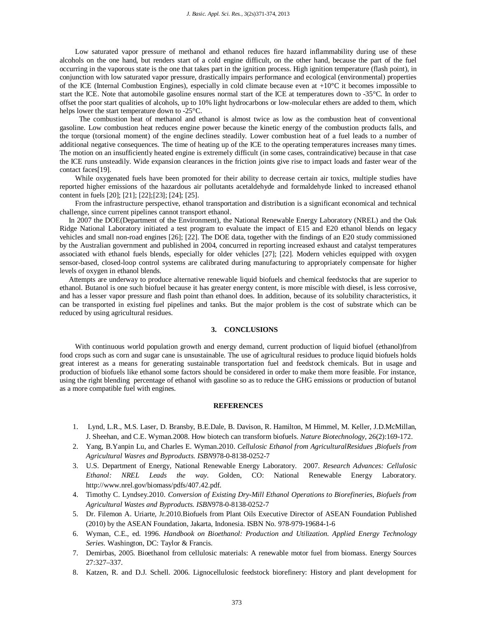Low saturated vapor pressure of methanol and ethanol reduces fire hazard inflammability during use of these alcohols on the one hand, but renders start of a cold engine difficult, on the other hand, because the part of the fuel occurring in the vaporous state is the one that takes part in the ignition process. High ignition temperature (flash point), in conjunction with low saturated vapor pressure, drastically impairs performance and ecological (environmental) properties of the ICE (Internal Combustion Engines), especially in cold climate because even at +10°C it becomes impossible to start the ICE. Note that automobile gasoline ensures normal start of the ICE at temperatures down to -35°C. In order to offset the poor start qualities of alcohols, up to 10% light hydrocarbons or low-molecular ethers are added to them, which helps lower the start temperature down to -25°C.

 The combustion heat of methanol and ethanol is almost twice as low as the combustion heat of conventional gasoline. Low combustion heat reduces engine power because the kinetic energy of the combustion products falls, and the torque (torsional moment) of the engine declines steadily. Lower combustion heat of a fuel leads to a number of additional negative consequences. The time of heating up of the ICE to the operating temperatures increases many times. The motion on an insufficiently heated engine is extremely difficult (in some cases, contraindicative) because in that case the ICE runs unsteadily. Wide expansion clearances in the friction joints give rise to impact loads and faster wear of the contact faces[19].

While oxygenated fuels have been promoted for their ability to decrease certain air toxics, multiple studies have reported higher emissions of the hazardous air pollutants acetaldehyde and formaldehyde linked to increased ethanol content in fuels [20]; [21]; [22];[23]; [24]; [25].

From the infrastructure perspective, ethanol transportation and distribution is a significant economical and technical challenge, since current pipelines cannot transport ethanol.

 In 2007 the DOE(Department of the Environment), the National Renewable Energy Laboratory (NREL) and the Oak Ridge National Laboratory initiated a test program to evaluate the impact of E15 and E20 ethanol blends on legacy vehicles and small non-road engines [26]; [22]. The DOE data, together with the findings of an E20 study commissioned by the Australian government and published in 2004, concurred in reporting increased exhaust and catalyst temperatures associated with ethanol fuels blends, especially for older vehicles [27]; [22]. Modern vehicles equipped with oxygen sensor-based, closed-loop control systems are calibrated during manufacturing to appropriately compensate for higher levels of oxygen in ethanol blends.

 Attempts are underway to produce alternative renewable liquid biofuels and chemical feedstocks that are superior to ethanol. Butanol is one such biofuel because it has greater energy content, is more miscible with diesel, is less corrosive, and has a lesser vapor pressure and flash point than ethanol does. In addition, because of its solubility characteristics, it can be transported in existing fuel pipelines and tanks. But the major problem is the cost of substrate which can be reduced by using agricultural residues.

# **3. CONCLUSIONS**

With continuous world population growth and energy demand, current production of liquid biofuel (ethanol)from food crops such as corn and sugar cane is unsustainable. The use of agricultural residues to produce liquid biofuels holds great interest as a means for generating sustainable transportation fuel and feedstock chemicals. But in usage and production of biofuels like ethanol some factors should be considered in order to make them more feasible. For instance, using the right blending percentage of ethanol with gasoline so as to reduce the GHG emissions or production of butanol as a more compatible fuel with engines.

#### **REFERENCES**

- 1. Lynd, L.R., M.S. Laser, D. Bransby, B.E.Dale, B. Davison, R. Hamilton, M Himmel, M. Keller, J.D.McMillan, J. Sheehan, and C.E. Wyman.2008. How biotech can transform biofuels. *Nature Biotechnology,* 26(2):169-172.
- 2. Yang, B.Yanpin Lu, and Charles E. Wyman.2010. *Cellulosic Ethanol from AgriculturalResidues* ,*Biofuels from Agricultural Wasres and Byproducts. ISBN*978-0-8138-0252-7
- 3. U.S. Department of Energy, National Renewable Energy Laboratory. 2007. *Research Advances: Cellulosic Ethanol: NREL Leads the way*. Golden, CO: National Renewable Energy Laboratory. http://www.nrel.gov/biomass/pdfs/407.42.pdf.
- 4. Timothy C. Lyndsey.2010. *Conversion of Existing Dry-Mill Ethanol Operations to Biorefineries*, *Biofuels from Agricultural Wastes and Byproducts. ISBN*978-0-8138-0252-7
- 5. Dr. Filemon A. Uriarte, Jr.2010.Biofuels from Plant Oils Executive Director of ASEAN Foundation Published (2010) by the ASEAN Foundation, Jakarta, Indonesia. ISBN No. 978-979-19684-1-6
- 6. Wyman, C.E., ed. 1996. *Handbook on Bioethanol: Production and Utilization. Applied Energy Technology Series.* Washington, DC: Taylor & Francis.
- 7. Demirbas, 2005. Bioethanol from cellulosic materials: A renewable motor fuel from biomass. Energy Sources 27:327–337.
- 8. Katzen, R. and D.J. Schell. 2006. Lignocellulosic feedstock biorefinery: History and plant development for